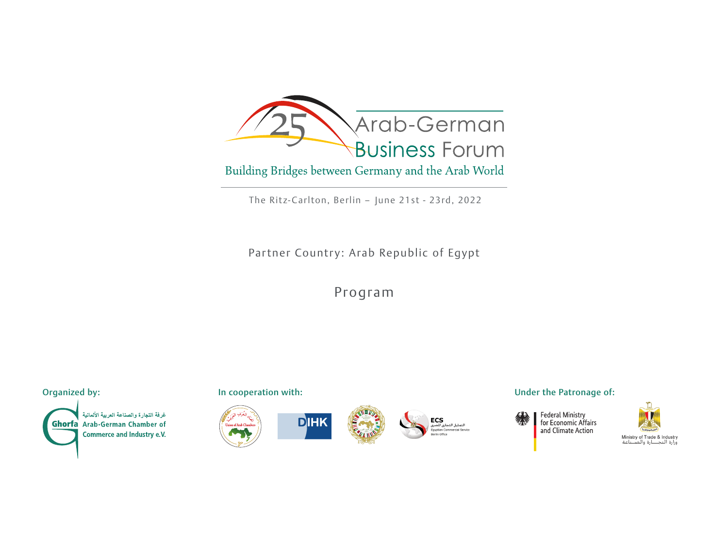

The Ritz-Carlton, Berlin - June 21st - 23rd, 2022

Partner Country: Arab Republic of Egypt

Program

غر فة التجارة والصناعة العربية الألمانية **Ghorfa** Arab-German Chamber of Commerce and Industry e.V.











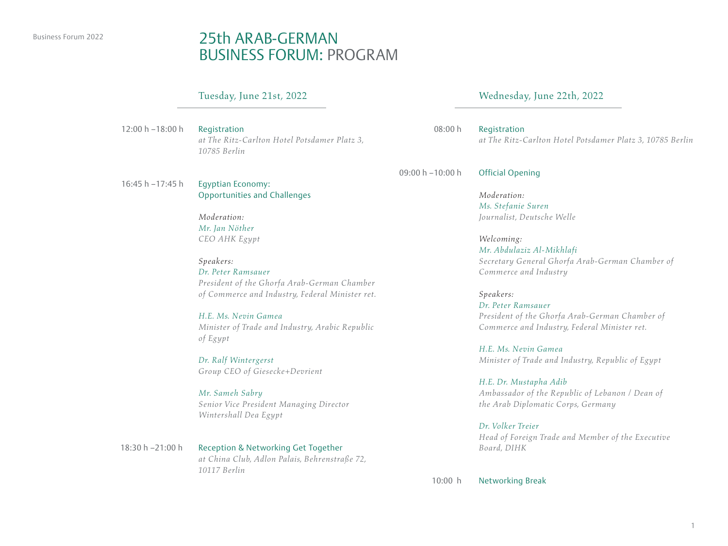### Business Forum 2022 25th ARAB-GFRMAN BUSINESS FORUM: PROGRAM

### Tuesday, June 21st, 2022

Registration *at The Ritz-Carlton Hotel Potsdamer Platz 3, 10785 Berlin* 12:00 h –18:00 h

Egyptian Economy: Opportunities and Challenges 16:45 h –17:45 h

### *Moderation: Mr. Jan Nöther CEO AHK Egypt*

*Speakers: Dr. Peter Ramsauer President of the Ghorfa Arab-German Chamber of Commerce and Industry, Federal Minister ret.*

*H.E. Ms. Nevin Gamea Minister of Trade and Industry, Arabic Republic of Egypt*

*Dr. Ralf Wintergerst Group CEO of Giesecke+Devrient*

*Mr. Sameh Sabry Senior Vice President Managing Director Wintershall Dea Egypt*

Reception & Networking Get Together *at China Club, Adlon Palais, Behrenstraße 72, 10117 Berlin* 18:30 h –21:00 h

### Wednesday, June 22th, 2022

Registration *at The Ritz-Carlton Hotel Potsdamer Platz 3, 10785 Berlin* 08:00 h

Official Opening 09:00 h –10:00 h

*Moderation: Ms. Stefanie Suren Journalist, Deutsche Welle*

*Welcoming: Mr. Abdulaziz Al-Mikhlafi Secretary General Ghorfa Arab-German Chamber of Commerce and Industry*

*Speakers: Dr. Peter Ramsauer President of the Ghorfa Arab-German Chamber of Commerce and Industry, Federal Minister ret.*

*H.E. Ms. Nevin Gamea Minister of Trade and Industry, Republic of Egypt*

*H.E. Dr. Mustapha Adib Ambassador of the Republic of Lebanon / Dean of the Arab Diplomatic Corps, Germany*

*Dr. Volker Treier Head of Foreign Trade and Member of the Executive Board, DIHK*

Networking Break 10:00 h

1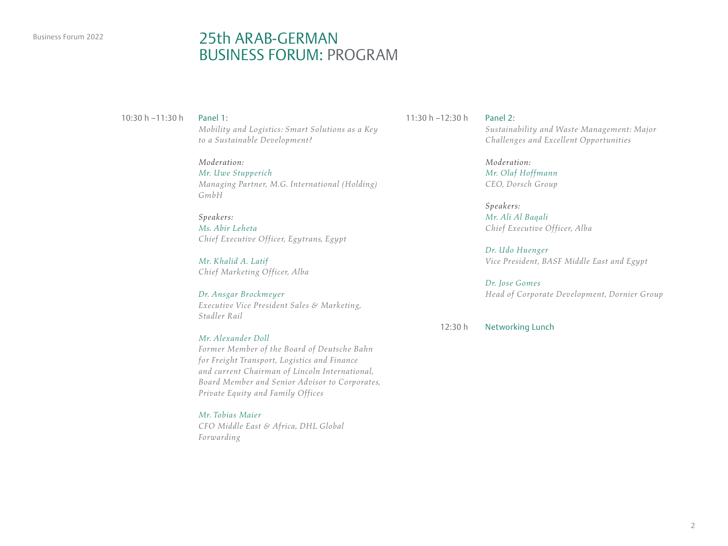# Business Forum 2022 25th ARAB-GERMAN BUSINESS FORUM: PROGRAM

### Panel 1:

*Mobility and Logistics: Smart Solutions as a Key to a Sustainable Development?*

### *Moderation: Mr. Uwe Stupperich Managing Partner, M.G. International (Holding) GmbH*

*Speakers: Ms. Abir Leheta Chief Executive Officer, Egytrans, Egypt*

*Mr. Khalid A. Latif Chief Marketing Officer, Alba*

*Dr. Ansgar Brockmeyer Executive Vice President Sales & Marketing, Stadler Rail*

### *Mr. Alexander Doll*

*Former Member of the Board of Deutsche Bahn for Freight Transport, Logistics and Finance and current Chairman of Lincoln International, Board Member and Senior Advisor to Corporates, Private Equity and Family Offices*

*Mr. Tobias Maier*

*CFO Middle East & Africa, DHL Global Forwarding*

10:30 h –11:30 h Panel 2: 11:30 h –12:30 h

*Sustainability and Waste Management: Major Challenges and Excellent Opportunities*

*Moderation: Mr. Olaf Hoffmann CEO, Dorsch Group*

*Speakers: Mr. Ali Al Baqali Chief Executive Officer, Alba*

*Dr. Udo Huenger Vice President, BASF Middle East and Egypt*

*Dr. Jose Gomes Head of Corporate Development, Dornier Group*

12:30 h

Networking Lunch

2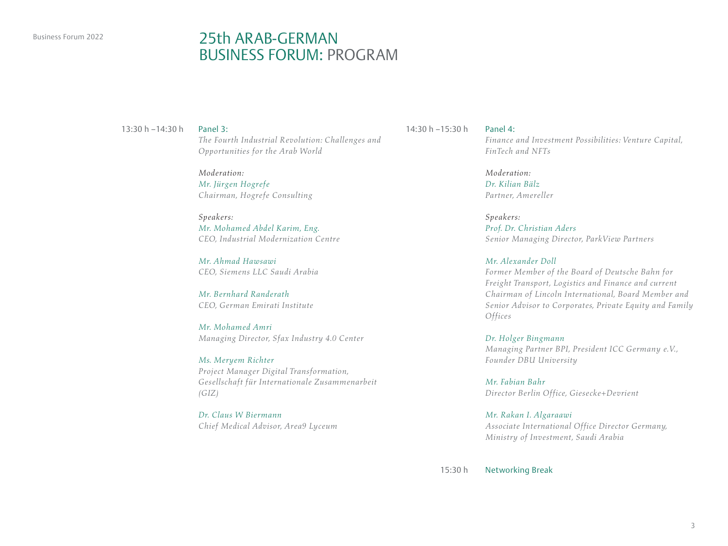# Business Forum 2022 25th ARAB-GFRMAN BUSINESS FORUM: PROGRAM

#### Panel 3:

*The Fourth Industrial Revolution: Challenges and Opportunities for the Arab World*

*Moderation: Mr. Jürgen Hogrefe Chairman, Hogrefe Consulting*

### *Speakers:*

*Mr. Mohamed Abdel Karim, Eng. CEO, Industrial Modernization Centre*

*Mr. Ahmad Hawsawi CEO, Siemens LLC Saudi Arabia*

*Mr. Bernhard Randerath CEO, German Emirati Institute*

*Mr. Mohamed Amri Managing Director, Sfax Industry 4.0 Center*

*Ms. Meryem Richter Project Manager Digital Transformation, Gesellschaft für Internationale Zusammenarbeit (GIZ)*

*Dr. Claus W Biermann Chief Medical Advisor, Area9 Lyceum*

13:30 h –14:30 h Panel 4: 14:30 h –15:30 h

*Finance and Investment Possibilities: Venture Capital, FinTech and NFTs* 

*Moderation: Dr. Kilian Bälz Partner, Amereller*

*Speakers: Prof. Dr. Christian Aders Senior Managing Director, ParkView Partners*

### *Mr. Alexander Doll*

*Former Member of the Board of Deutsche Bahn for Freight Transport, Logistics and Finance and current Chairman of Lincoln International, Board Member and Senior Advisor to Corporates, Private Equity and Family Offices*

*Dr. Holger Bingmann Managing Partner BPI, President ICC Germany e.V., Founder DBU University*

*Mr. Fabian Bahr Director Berlin Office, Giesecke+Devrient* 

*Mr. Rakan I. Algaraawi Associate International Office Director Germany, Ministry of Investment, Saudi Arabia*

Networking Break 15:30 h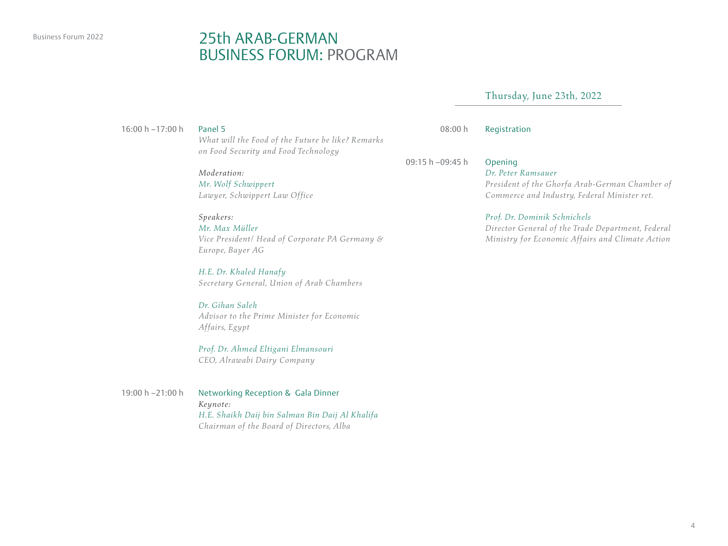### Business Forum 2022 25th ARAB-GERMAN BUSINESS FORUM: PROGRAM

### Thursday, June 23th, 2022

16:00 h –17:00 h

#### Panel 5

*What will the Food of the Future be like? Remarks on Food Security and Food Technology*

*Moderation:*

*Mr. Wolf Schwippert Lawyer, Schwippert Law Office*

### *Speakers:*

*Mr. Max Müller Vice President/ Head of Corporate PA Germany & Europe, Bayer AG*

*H.E. Dr. Khaled Hanafy Secretary General, Union of Arab Chambers*

### *Dr. Gihan Saleh*

*Advisor to the Prime Minister for Economic Affairs, Egypt* 

*Prof. Dr. Ahmed Eltigani Elmansouri CEO, Alrawabi Dairy Company*

Networking Reception & Gala Dinner *Keynote: H.E. Shaikh Daij bin Salman Bin Daij Al Khalifa Chairman of the Board of Directors, Alba* 19:00 h –21:00 h

Registration 08:00 h

09:15 h –09:45 h

#### Opening *Dr. Peter Ramsauer*

*President of the Ghorfa Arab-German Chamber of Commerce and Industry, Federal Minister ret.*

### *Prof. Dr. Dominik Schnichels*

*Director General of the Trade Department, Federal Ministry for Economic Affairs and Climate Action*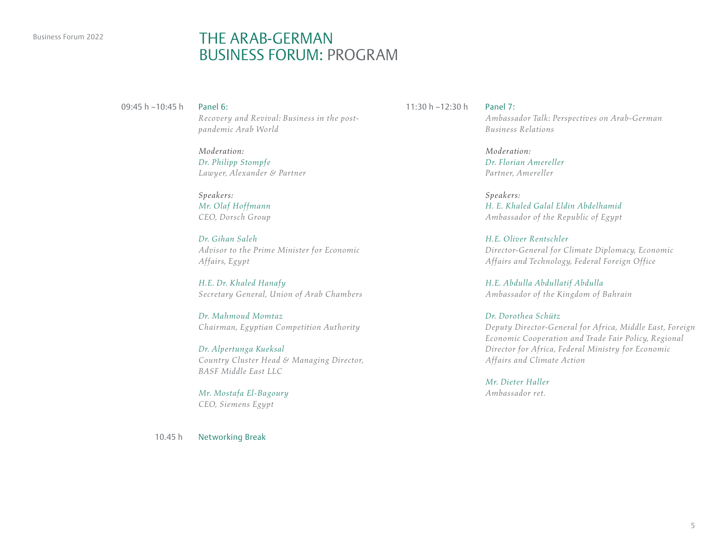# Business Forum 2022 **THE ARAB-GERMAN** BUSINESS FORUM: PROGRAM

09:45 h –10:45 h

#### Panel 6:

*Recovery and Revival: Business in the postpandemic Arab World*

*Moderation: Dr. Philipp Stompfe Lawyer, Alexander & Partner*

*Speakers: Mr. Olaf Hoffmann CEO, Dorsch Group*

*Dr. Gihan Saleh Advisor to the Prime Minister for Economic Affairs, Egypt*

*H.E. Dr. Khaled Hanafy Secretary General, Union of Arab Chambers*

*Dr. Mahmoud Momtaz Chairman, Egyptian Competition Authority*

*Dr. Alpertunga Kueksal Country Cluster Head & Managing Director, BASF Middle East LLC*

*Mr. Mostafa El-Bagoury CEO, Siemens Egypt*

Networking Break 10.45 h

11:30 h –12:30 h

### Panel 7:

*Ambassador Talk: Perspectives on Arab-German Business Relations*

*Moderation: Dr. Florian Amereller Partner, Amereller*

*Speakers: H. E. Khaled Galal Eldin Abdelhamid Ambassador of the Republic of Egypt*

*H.E. Oliver Rentschler Director-General for Climate Diplomacy, Economic Affairs and Technology, Federal Foreign Office*

*H.E. Abdulla Abdullatif Abdulla Ambassador of the Kingdom of Bahrain*

*Dr. Dorothea Schütz Deputy Director-General for Africa, Middle East, Foreign Economic Cooperation and Trade Fair Policy, Regional Director for Africa, Federal Ministry for Economic Affairs and Climate Action*

*Mr. Dieter Haller Ambassador ret.*